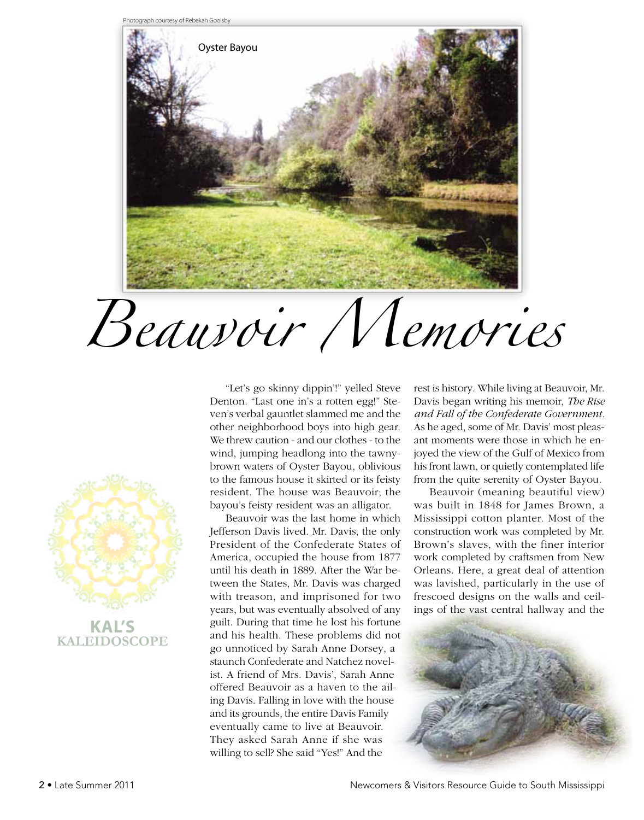



**Kaleidoscope**

"Let's go skinny dippin'!" yelled Steve Denton. "Last one in's a rotten egg!" Steven's verbal gauntlet slammed me and the other neighborhood boys into high gear. We threw caution - and our clothes - to the wind, jumping headlong into the tawnybrown waters of Oyster Bayou, oblivious to the famous house it skirted or its feisty resident. The house was Beauvoir; the bayou's feisty resident was an alligator.

Beauvoir was the last home in which Jefferson Davis lived. Mr. Davis, the only President of the Confederate States of America, occupied the house from 1877 until his death in 1889. After the War between the States, Mr. Davis was charged with treason, and imprisoned for two years, but was eventually absolved of any guilt. During that time he lost his fortune and his health. These problems did not go unnoticed by Sarah Anne Dorsey, a staunch Confederate and Natchez novelist. A friend of Mrs. Davis', Sarah Anne offered Beauvoir as a haven to the ailing Davis. Falling in love with the house and its grounds, the entire Davis Family eventually came to live at Beauvoir. They asked Sarah Anne if she was willing to sell? She said "Yes!" And the

rest is history. While living at Beauvoir, Mr. Davis began writing his memoir, *The Rise and Fall of the Confederate Government.*  As he aged, some of Mr. Davis' most pleasant moments were those in which he enjoyed the view of the Gulf of Mexico from his front lawn, or quietly contemplated life from the quite serenity of Oyster Bayou.

Beauvoir (meaning beautiful view) was built in 1848 for James Brown, a Mississippi cotton planter. Most of the construction work was completed by Mr. Brown's slaves, with the finer interior work completed by craftsmen from New Orleans. Here, a great deal of attention was lavished, particularly in the use of frescoed designs on the walls and ceilings of the vast central hallway and the



2 • Late Summer 2011 Newcomers & Visitors Resource Guide to South Mississippi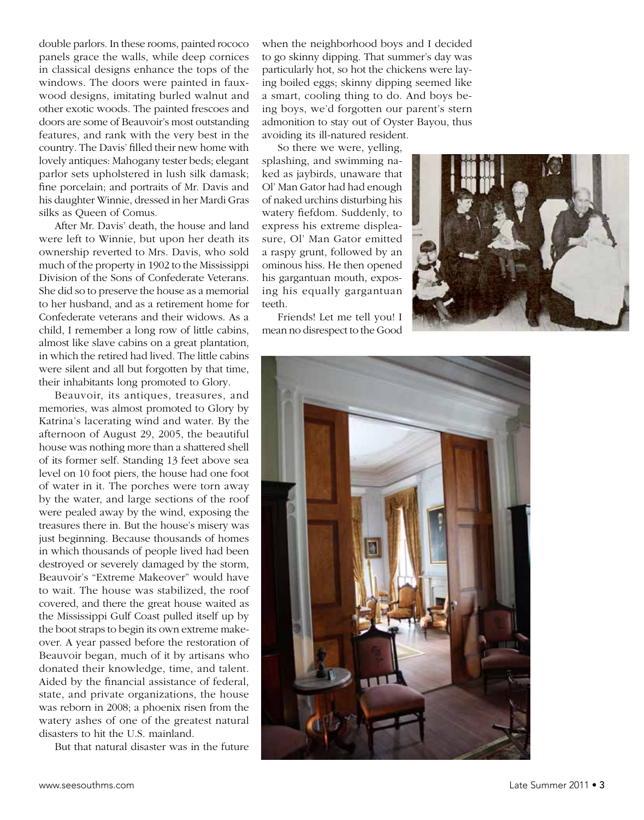double parlors. In these rooms, painted rococo panels grace the walls, while deep cornices in classical designs enhance the tops of the windows. The doors were painted in fauxwood designs, imitating burled walnut and other exotic woods. The painted frescoes and doors are some of Beauvoir's most outstanding features, and rank with the very best in the country. The Davis' filled their new home with lovely antiques: Mahogany tester beds; elegant parlor sets upholstered in lush silk damask; fine porcelain; and portraits of Mr. Davis and his daughter Winnie, dressed in her Mardi Gras silks as Queen of Comus.

After Mr. Davis' death, the house and land were left to Winnie, but upon her death its ownership reverted to Mrs. Davis, who sold much of the property in 1902 to the Mississippi Division of the Sons of Confederate Veterans. She did so to preserve the house as a memorial to her husband, and as a retirement home for Confederate veterans and their widows. As a child, I remember a long row of little cabins, almost like slave cabins on a great plantation, in which the retired had lived. The little cabins were silent and all but forgotten by that time, their inhabitants long promoted to Glory.

Beauvoir, its antiques, treasures, and memories, was almost promoted to Glory by Katrina's lacerating wind and water. By the afternoon of August 29, 2005, the beautiful house was nothing more than a shattered shell of its former self. Standing 13 feet above sea level on 10 foot piers, the house had one foot of water in it. The porches were torn away by the water, and large sections of the roof were pealed away by the wind, exposing the treasures there in. But the house's misery was just beginning. Because thousands of homes in which thousands of people lived had been destroyed or severely damaged by the storm, Beauvoir's "Extreme Makeover" would have to wait. The house was stabilized, the roof covered, and there the great house waited as the Mississippi Gulf Coast pulled itself up by the boot straps to begin its own extreme makeover. A year passed before the restoration of Beauvoir began, much of it by artisans who donated their knowledge, time, and talent. Aided by the financial assistance of federal, state, and private organizations, the house was reborn in 2008; a phoenix risen from the watery ashes of one of the greatest natural disasters to hit the U.S. mainland.

But that natural disaster was in the future

when the neighborhood boys and I decided to go skinny dipping. That summer's day was particularly hot, so hot the chickens were laying boiled eggs; skinny dipping seemed like a smart, cooling thing to do. And boys being boys, we'd forgotten our parent's stern admonition to stay out of Oyster Bayou, thus avoiding its ill-natured resident.

So there we were, yelling, splashing, and swimming naked as jaybirds, unaware that Ol' Man Gator had had enough of naked urchins disturbing his watery fiefdom. Suddenly, to express his extreme displeasure, Ol' Man Gator emitted a raspy grunt, followed by an ominous hiss. He then opened his gargantuan mouth, exposing his equally gargantuan teeth.

Friends! Let me tell you! I mean no disrespect to the Good